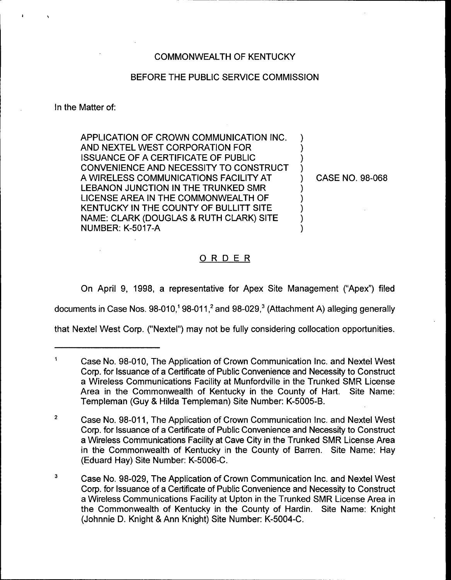## GOMMONWEALTH OF KENTUCKY

## BEFORE THE PUBLiC SERVICE COMMISSION

) ) ) )

> ) ) ) ) )

) CASE NO. 98-068

In the Matter of:

APPLICATION OF CROWN COMMUNICATION INC. AND NEXTEL WEST CORPORATION FOR ISSUANCE OF A CERTIFICATE OF PUBLIC CONVENIENCE AND NECESSITY TO CONSTRUCT A WIRELESS COMMUNICATIONS FACILITY AT LEBANON JUNCTION IN THE TRUNKED SMR LICENSE AREA IN THE COMMONWEALTH OF KENTUCKY IN THE COUNTY OF BULLITT SITE NAME: CLARK (DOUGLAS & RUTH CLARK) SITE NUMBER: K-5017-A

ORDER

On April 9, 1998, a representative for Apex Site Management ("Apex") filed

documents in Case Nos.  $98-010$ ,  $98-011$ ,  $^2$  and  $98-029$ ,  $^3$  (Attachment A) alleging generally

that Nextel West Corp. ("Nextel") may not be fully considering collocation opportunities.

 $\mathbf{1}$ Case No. 98-010, The Application of Crown Communication Inc. and Nextel West Corp. for Issuance of a Certificate of Public Convenience and Necessity to Construct a Wireless Communications Facility at Munfordville in the Trunked SMR License Area in the Commonwealth of Kentucky in the County of Hart. Site Name: Templeman (Guy & Hilda Templeman) Site Number: K-5005-B.

 $\mathbf 2$ Case No. 98-011, The Application of Crown Communication Inc. and Nextel West Corp. for Issuance of a Certificate of Public Convenience and Necessity to Construct a Wireless Communications Facility at Cave City in the Trunked SMR License Area in the Commonwealth of Kentucky in the County of Barren. Site Name: Hay (Eduard Hay) Site Number: K-5006-C.

 $\mathbf 3$ Case No. 98-029, The Application of Crown Communication lnc. and Nextel West Corp. for Issuance of a Certificate of Public Convenience and Necessity to Construct a Wireless Communications Facility at Upton in the Trunked SMR License Area in the Commonwealth of Kentucky in the County of Hardin. Site Name: Knight (Johnnie D. Knight & Ann Knight) Site Number: K-5004-C.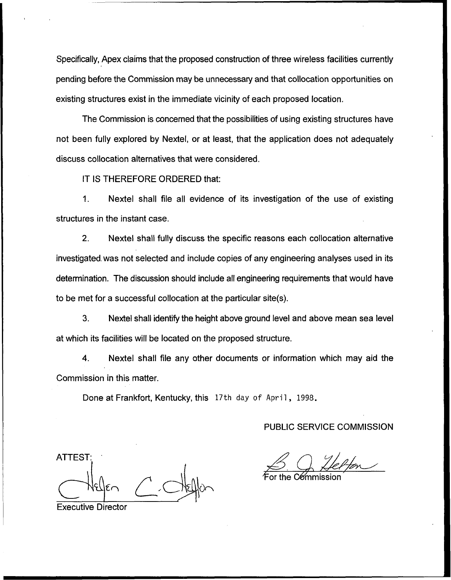Specifically, Apex claims that the proposed construction of three wireless facilities currently pending before the Commission may be unnecessary and that collocation opportunities on existing structures exist in the immediate vicinity of each proposed location,

The Commission is concerned that the possibilities of using existing structures have not been fully explored by Nextel, or at least, that the application does not adequately discuss collocation alternatives that were considered.

IT IS THEREFORE ORDERED that:

 $1<sub>1</sub>$ Nextel shall file all evidence of its investigation of the use of existing structures in the instant case.

2. Nextel shall fully discuss the specific reasons each collocation alternative investigated. was not selected and include copies of any engineering analyses used in its determination. The discussion should include all engineering requirements that would have to be met for a successful collocation at the particular site(s).

3. Nextel shall identify the height above ground level and above mean sea level at which its facilities will be located on the proposed structure.

4. Nextel shall file any other documents or information which may aid the Commission in this matter.

Done at Frankfort, Kentucky, this 17th day of April, 1998.

PUBLIC SERVICE COMMISSION

ATTEST:

for the G6mmission

Executive Director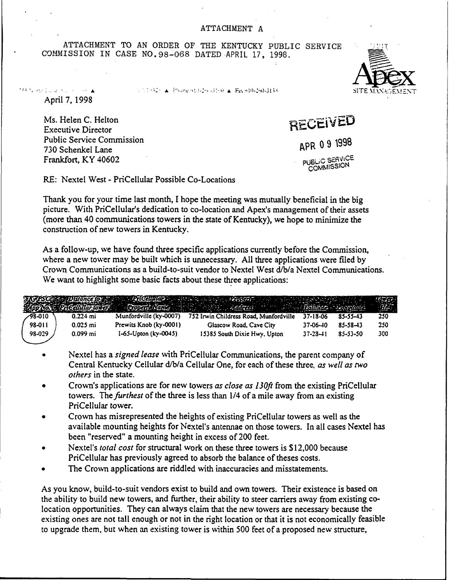ATTACHMENT TO AN ORDER OF THE KENTUCKY PUBLIC SERVICE COMMISSION IN CASE NO. 98-068 DATED APRIL 17, 1998.

10013423 ▲ Iffunder(33-29) 430.0 ▲ Fax 610-260-3138

April 7, 1998

1990a eta Durantziako hama

Ms. Helen C. Helton Executive Director Public Service Commission 730 Schenkel Lane Frankfort, KY 40602

SITE MANAGEMENT

**RECEIVED** 

ppp 0 9 L9'98

UBLIC SERVICE **COMMISSION** 

RE: Nextel West - PriCellular Possible Co-Locations

Thank you for your time last month, I hope the meeting was mutually beneficial in the big picture. With PriCellular's dedication to co-location and Apex's management of their assets (more than 40 communications towers in the state of Kentucky), we hope to minimize the construction of new towers in Kentucky.

As a follow-up, we have found three specific applications currently before the Commission, where a new tower may be built which is unnecessary. All three applications were filed by Crown Communications as a build-to-suit vendor to Nextel West d/b/a Nextel Communications. We want to highlight some basic facts about these three applications:

|         |                    |                               | Nepsch pistulations in the lines of the theory of the contract of the contract of the contract of the contract of the contract of the contract of the contract of the contract of the contract of the contract of the contract |                |          |     |
|---------|--------------------|-------------------------------|--------------------------------------------------------------------------------------------------------------------------------------------------------------------------------------------------------------------------------|----------------|----------|-----|
| -98-010 | $0.224$ mi         | Munfordville (ky-0007)        | 752 Irwin Childress Road, Munfordville                                                                                                                                                                                         | 37-18-06       | 85-55-43 | 250 |
| 98-011  | $0.025 \text{ mi}$ | Prewits Knob (ky-0001)        | Glascow Road, Cave City                                                                                                                                                                                                        | 37-06-40       | 85-58-43 | 250 |
| 98-029  | $0.099$ mi         | $1-63 - U$ pton (ky $-0045$ ) | 15385 South Dixie Hwy, Upton                                                                                                                                                                                                   | $37 - 28 - 11$ | 85-53-50 | 300 |

- Nextel has a *signed lease* with PriCellular Communications, the parent company of Central Kentucky Cellular d/b/a Cellular One, for each of these three, as well as two others in the state.
- Crown's applications are for new towers as close as 130ft from the existing PriCellular towers. The furthest of the three is less than 1/4 of a mile away from an existing PriCellular tower.
- Crown has misrepresented the heights of existing PriCellular towers as well as the  $\bullet$ available mounting heights for Nextel's antennae on those towers. In all cases Nextel has been "reserved" a mounting height in excess of 200 feet.
- Nextel's total cost for structural work on these three towers is \$12,000 because PriCellular has previously agreed to absorb the balance of theses costs.
- The Crown applications are riddled with inaccuracies and misstatements.

As you know, build-to-suit vendors exist to build and own towers. Their existence is based on the ability to build new towers, and further, their ability to steer carriers away from existing colocation opportunities. They can always claim that the new towers are necessary because the existing ones are not tall enough or not in the right location or that it is not economically feasible to upgrade them, but when an existing tower is within 500 feet of a proposed new structure,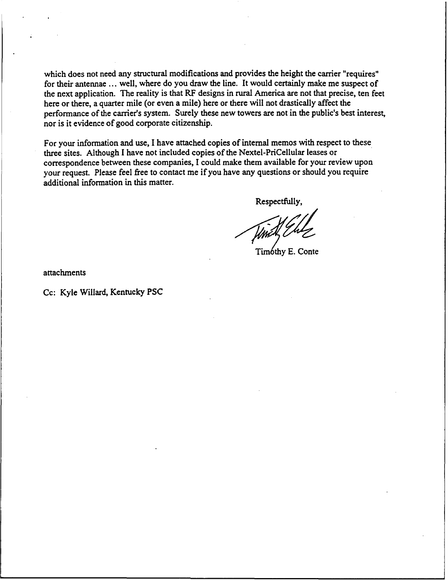which does not need any structural modifications and provides the height the carrier "requires" for their antennae ...well, where do you draw the line. It would certainly make me suspect of the next application. The reality is that RF designs in rural America are not that precise, ten feet here or there, a quarter mile (or even a mile) here or there will not drastically affect the performance of the carrier's system. Surely these new towers are not in the public's best interest, nor is it evidence of good corporate citizenship.

For your information and use, I have attached copies of internal memos with respect to these three sites. Although I have not included copies of the Nextel-PriCellular leases or correspondence between these companies, I could make them available for your review upon your request. Please feel free to contact me if you have any questions or should you require additional information in this matter.

Respectfully,

Timóthy E. Conte

attachments

Cc: Kyle Wiilard, Kentucky PSC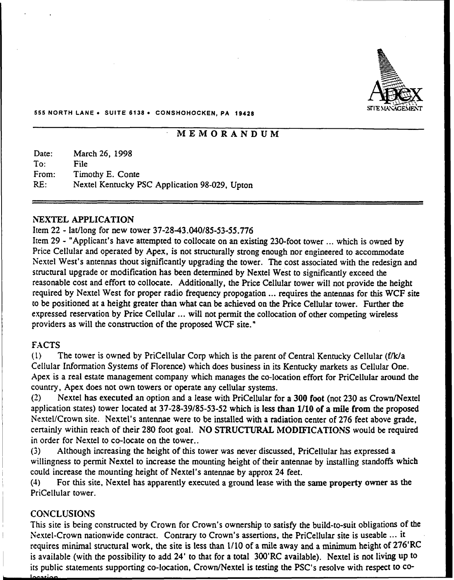

#### 555 NORTH LANE <sup>~</sup> SUITE 613\$ <sup>~</sup> CONSHOHOCKEN, PA 19428

## M E M O R A N D U M

Date: To: From: RE: March 26, 1998 File Timothy E. Conte Nextel Kentucky PSC Application 98-029, Upton

#### NEXTEL APPLICATION

## Item 22 - lat/long for new tower 37-28-43.040/85-53-55.776

Item <sup>29</sup> - "Applicant's have attempted to collocate on an existing 230-foot tower ...which is owned by Price Cellular and operated by Apex, is not structurally strong enough nor engineered to accommodate Nextel West's antennas thout significantly upgrading the tower. The cost associated with the redesign and structural upgrade or modification has been determined by Nextel West to significantly exceed the reasonable cost and effort to collocate. Additionally, the Price Cellular tower will not provide the height required by Nextel West for proper radio frequency propogation ... requires the antennas for this WCF site to be positioned at a height greater than what can be achieved on the Price Cellular tower. Further the expressed reservation by Price Cellular ... will not permit the collocation of other competing wireless providers as will the construction of the proposed WCF site."

## FACTS

(l) The tower is owned by PriCellular Corp which is the parent of Central Kentucky Cellular (f/k/a Cellular Information Systems of Florence) which does business in its Kentucky markets as Cellular One. Apex is a real estate management company which manages the co-location effort for PriCellular around the country, Apex does not own towers or operate any cellular systems.

(2) Nextel has executed an option and a lease with PriCellular for a 300 foot (not 230 as Crown/Nextel application states) tower located at 37-28-39/85-53-52 which is less than 1/10 of a mile from the proposed Nextel/Crown site. Nextel's antennae were to be installed with a radiation center of 276 feet above grade, certainly within reach of their 280 foot goal. NO STRUCTURAL MODIFICATIONS would be required in order for Nextel to co-locate on the tower..

(3) Although increasing the height of this tower was never discussed, PriCellular has expressed a willingness to permit Nextel to increase the mounting height of their antennae by installing standoffs which could increase the mounting height of Nextel's antennae by approx 24 feet.

(4) For this site, Nextel has apparently executed a ground lease with the same property owner as the PriCellular tower.

## **CONCLUSIONS**

This site is being constructed by Crown for Crown's ownership to satisfy the build-to-suit obligations of the Nextel-Crown nationwide contract. Contrary to Crown's assertions, the PriCellular site is useable ... it requires minimal structural work, the site is less than  $1/10$  of a mile away and a minimum height of  $276'RC$ is available (with the possibility to add 24' to that for a total 300'RC available). Nextel is not living up to its public statements supporting co-location, Crown/Nextel is testing the pSC's resolve with respect to co-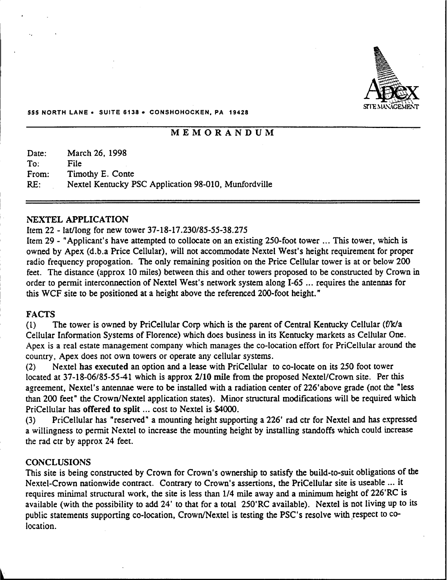

#### 555 NORTH LANE <sup>~</sup> SUITE 6138 <sup>~</sup> CONSHOHOCKEN, PA 19426

## MEMORANDUM

Date: To: From: RE: March 26, 1998 File Timothy E. Conte Nextel Kentucky PSC Application 98-010, Munfordville

#### NEXTEL APPLICATION

#### Item 22 - lat/long for new tower 37-18-17.230/85-55-38.275

Item 29 - "Applicant's have attempted to collocate on an existing 250-foot tower ... This tower, which is owned by Apex (d.b.a Price Cellular), will not accommodate Nextel West's height requirement for proper radio frequency propogation. The only remaining position on the Price Cellular tower is at or below 200 feet. The distance (approx 10 miles) between this and other towers proposed to be constructed by Crown in order to permit interconnection of Nextel West's network system along I-65 ... requires the antennas for this WCF site to be positioned at a height above the referenced 200-foot height."

#### FACTS

(1) The tower is owned by PriCellular Corp which is the parent of Central Kentucky Cellular (f/k/a Cellular Information Systems of Florence) which does business in its Kentucky markets as Cellular One. Apex is a real estate management company which manages the co-location effort for PriCellular around the country, Apex does not own towers or operate any cellular systems.

(2) Nextel has executed an option and a lease with PriCellular to co-locate on its 250 foot tower located at 37-18-06/85-55-41 which is approx 2/10 mile from the proposed Nextel/Crown site. Per this agreement, Nextel's antennae were to be installed with a radiation center of 226'above grade (not the "less than 200 feet" the Crown/Nextel application states). Minor structural modifications will be required which PriCellular has offered to split ... cost to Nextel is \$4000.<br>(3) PriCellular has "reserved" a mounting height suppo

PriCellular has "reserved" a mounting height supporting a 226' rad ctr for Nextel and has expressed a willingness to permit Nextel to increase the mounting height by installing standoffs which could increase the rad ctr by approx 24 feet.

#### **CONCLUSIONS**

This site is being constructed by Crown for Crown's ownership to satisfy the build-to-suit obligations of the Nextel-Crown nationwide contract. Contrary to Crown's assertions, the PriCellular site is useable ...it requires minimal structural work, the site is less than 1/4 mile away and a minimum height of 226'RC is available (with the possibility to add 24' to that for a total 250'RC available). Nextel is not living up to its public statements supporting co-location, Crown/Nextel is testing the PSC's resolve with respect to colocation.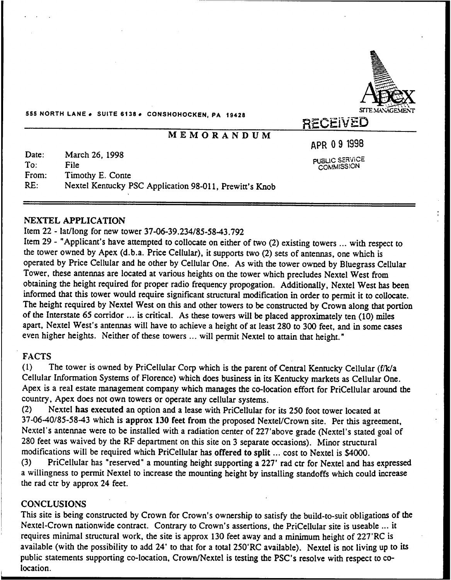

555 NORTH LANE . SUITE 6138 . CONSHOHOCKEN, PA 19428

## MEMORANDUM

gpss 09 1998

PUBLIC SERVICE COh!MISSION

Date: To: From: RE: March 26, 1998 File Timothy E. Conte Nextel Kentucky PSC Application 98-011, Prewitt's Knob

## NEXTEL APPLICATION

## Item 22 - lat/long for new tower 37-06-39.234/85-58-43.792

Item 29 - "Applicant's have attempted to collocate on either of two (2) existing towers ... with respect to the tower owned by Apex (d.b.a. Price Cellular), it supports two (2) sets of antennas, one which is operated by Price Cellular and he other by Cellular One. As with the tower owned by Bluegrass Cellular Tower, these antennas are located at various heights on the tower which precludes Nextel West from obtaining the height required for proper radio frequency propogation. Additionally, Nextel West has been informed that this tower would require significant structural modification in order to permit it to collocate. The height required by Nextel West on this and other towers to be constructed by Crown along that portion of the Interstate 65 corridor ... is critical. As these towers will be placed approximately ten (10) miles apart, Nextel West's antennas will have to achieve a height of at least 280 to 300 feet, and in some cases even higher heights. Neither of these towers ... will permit Nextel to attain that height."

#### FACTS

(1) The tower is owned by PriCellular Corp which is the parent of Central Kentucky Cellular (f/k/a Cellular Information Systems of Florence) which does business in its Kentucky markets as Cellular One. Apex is a real estate management company which manages the co-location effort for PriCellular around the country, Apex does not own towers or operate any cellular systems.

(2) Nextel has executed an option and a lease with PriCellular for its 250 foot tower located at 37-06-40/85-58-43 which is approx 130 feet from the proposed Nextel/Crown site. Per this agreement, Nextel's antennae were to be installed with a radiation center of 227'above grade (Nextel's stated goal of 280 feet was waived by the RF department on this site on 3 separate occasions). Minor structural modifications will be required which PriCellular has offered to split ... cost to Nextel is \$4000.<br>(3) PriCellular has "reserved" a mounting height supporting a 227' rad ctr for Nextel and ha

PriCellular has "reserved" a mounting height supporting a 227' rad ctr for Nextel and has expressed a willingness to permit Nextel to increase the mounting height by installing standoffs which could increase the rad ctr by approx 24 feet.

## CONCLUSIONS

This site is being constructed by Crown for Crown's ownership to satisfy the build-to-suit obligations of the Nextel-Crown nationwide contract. Contrary to Crown's assertions, the PriCellular site is useable ... it requires minimal structural work, the site is approx 130 feet away and a minimum height of 227'RC is available (with the possibility to add 24' to that for a total 250'RC available). Nextel is not living up to its public statements supporting co-location, Crown/Nextel is testing the PSC's resolve with respect to colocation.